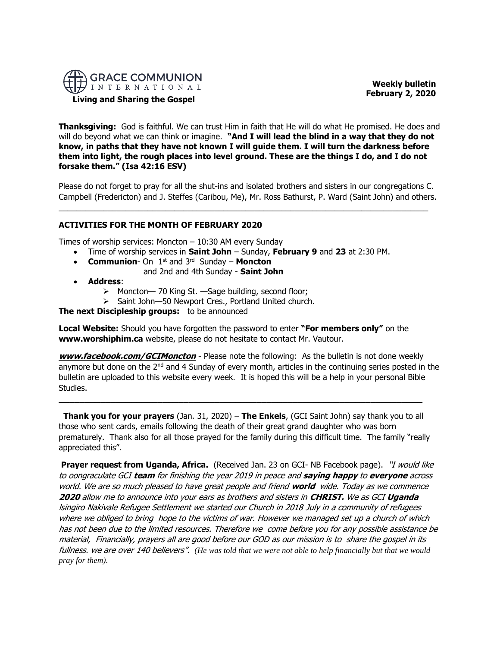

 **Weekly bulletin February 2, 2020** 

# **Living and Sharing the Gospel**

**Thanksgiving:** God is faithful. We can trust Him in faith that He will do what He promised. He does and will do beyond what we can think or imagine. **"And I will lead the blind in a way that they do not know, in paths that they have not known I will guide them. I will turn the darkness before them into light, the rough places into level ground. These are the things I do, and I do not forsake them." (Isa 42:16 ESV)**

Please do not forget to pray for all the shut-ins and isolated brothers and sisters in our congregations C. Campbell (Fredericton) and J. Steffes (Caribou, Me), Mr. Ross Bathurst, P. Ward (Saint John) and others.

 $\_$  , and the set of the set of the set of the set of the set of the set of the set of the set of the set of the set of the set of the set of the set of the set of the set of the set of the set of the set of the set of th

# **ACTIVITIES FOR THE MONTH OF FEBRUARY 2020**

Times of worship services: Moncton – 10:30 AM every Sunday

- Time of worship services in **Saint John** Sunday, **February 9** and **23** at 2:30 PM.
- **Communion** On 1<sup>st</sup> and 3<sup>rd</sup> Sunday **Moncton** 
	- and 2nd and 4th Sunday **Saint John**
- **Address**:
	- ➢ Moncton— 70 King St. —Sage building, second floor;
	- ➢ Saint John—50 Newport Cres., Portland United church.

# **The next Discipleship groups:** to be announced

**Local Website:** Should you have forgotten the password to enter **"For members only"** on the **www.worshiphim.ca** website, please do not hesitate to contact Mr. Vautour.

**[www.facebook.com/GCIMoncton](http://www.facebook.com/GCIMoncton)** - Please note the following: As the bulletin is not done weekly anymore but done on the  $2<sup>nd</sup>$  and 4 Sunday of every month, articles in the continuing series posted in the bulletin are uploaded to this website every week. It is hoped this will be a help in your personal Bible Studies.

**Thank you for your prayers** (Jan. 31, 2020) – **The Enkels**, (GCI Saint John) say thank you to all those who sent cards, emails following the death of their great grand daughter who was born prematurely. Thank also for all those prayed for the family during this difficult time. The family "really appreciated this".

**\_\_\_\_\_\_\_\_\_\_\_\_\_\_\_\_\_\_\_\_\_\_\_\_\_\_\_\_\_\_\_\_\_\_\_\_\_\_\_\_\_\_\_\_\_\_\_\_\_\_\_\_\_\_\_\_\_\_\_\_\_\_\_\_\_\_\_\_\_\_**

**Prayer request from Uganda, Africa.** (Received Jan. 23 on GCI- NB Facebook page). "*I would like* to oongraculate GCI **team** for finishing the year 2019 in peace and **saying happy** to **everyone** across world. We are so much pleased to have great people and friend **world** wide. Today as we commence **2020** allow me to announce into your ears as brothers and sisters in **CHRIST.** We as GCI **Uganda**  lsingiro Nakivale Refugee Settlement we started our Church in 2018 July in a community of refugees where we obliged to bring hope to the victims of war. However we managed set up a church of which has not been due to the limited resources. Therefore we come before you for any possible assistance be material, Financially, prayers all are good before our GOD as our mission is to share the gospel in its fullness. we are over 140 believers". *(He was told that we were not able to help financially but that we would pray for them).*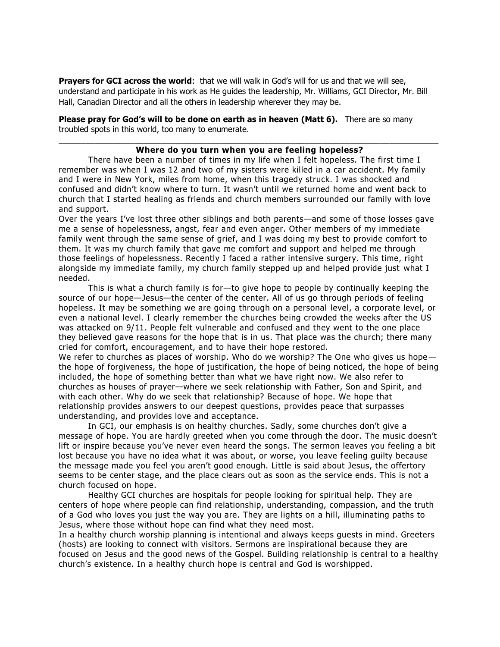Prayers for GCI across the world: that we will walk in God's will for us and that we will see, understand and participate in his work as He guides the leadership, Mr. Williams, GCI Director, Mr. Bill Hall, Canadian Director and all the others in leadership wherever they may be.

**Please pray for God's will to be done on earth as in heaven (Matt 6).** There are so many troubled spots in this world, too many to enumerate.

### \_\_\_\_\_\_\_\_\_\_\_\_\_\_\_\_\_\_\_\_\_\_\_\_\_\_\_\_\_\_\_\_\_\_\_\_\_\_\_\_\_\_\_\_\_\_\_\_\_\_\_\_\_\_\_\_\_\_\_\_\_\_\_\_\_\_\_\_\_\_\_\_\_\_\_\_\_\_\_\_\_\_\_\_\_ **Where do you turn when you are feeling hopeless?**

There have been a number of times in my life when I felt hopeless. The first time I remember was when I was 12 and two of my sisters were killed in a car accident. My family and I were in New York, miles from home, when this tragedy struck. I was shocked and confused and didn't know where to turn. It wasn't until we returned home and went back to church that I started healing as friends and church members surrounded our family with love and support.

Over the years I've lost three other siblings and both parents—and some of those losses gave me a sense of hopelessness, angst, fear and even anger. Other members of my immediate family went through the same sense of grief, and I was doing my best to provide comfort to them. It was my church family that gave me comfort and support and helped me through those feelings of hopelessness. Recently I faced a rather intensive surgery. This time, right alongside my immediate family, my church family stepped up and helped provide just what I needed.

This is what a church family is for—to give hope to people by continually keeping the source of our hope—Jesus—the center of the center. All of us go through periods of feeling hopeless. It may be something we are going through on a personal level, a corporate level, or even a national level. I clearly remember the churches being crowded the weeks after the US was attacked on 9/11. People felt vulnerable and confused and they went to the one place they believed gave reasons for the hope that is in us. That place was the church; there many cried for comfort, encouragement, and to have their hope restored.

We refer to churches as places of worship. Who do we worship? The One who gives us hope the hope of forgiveness, the hope of justification, the hope of being noticed, the hope of being included, the hope of something better than what we have right now. We also refer to churches as houses of prayer—where we seek relationship with Father, Son and Spirit, and with each other. Why do we seek that relationship? Because of hope. We hope that relationship provides answers to our deepest questions, provides peace that surpasses understanding, and provides love and acceptance.

In GCI, our emphasis is on healthy churches. Sadly, some churches don't give a message of hope. You are hardly greeted when you come through the door. The music doesn't lift or inspire because you've never even heard the songs. The sermon leaves you feeling a bit lost because you have no idea what it was about, or worse, you leave feeling guilty because the message made you feel you aren't good enough. Little is said about Jesus, the offertory seems to be center stage, and the place clears out as soon as the service ends. This is not a church focused on hope.

Healthy GCI churches are hospitals for people looking for spiritual help. They are centers of hope where people can find relationship, understanding, compassion, and the truth of a God who loves you just the way you are. They are lights on a hill, illuminating paths to Jesus, where those without hope can find what they need most.

In a healthy church worship planning is intentional and always keeps guests in mind. Greeters (hosts) are looking to connect with visitors. Sermons are inspirational because they are focused on Jesus and the good news of the Gospel. Building relationship is central to a healthy church's existence. In a healthy church hope is central and God is worshipped.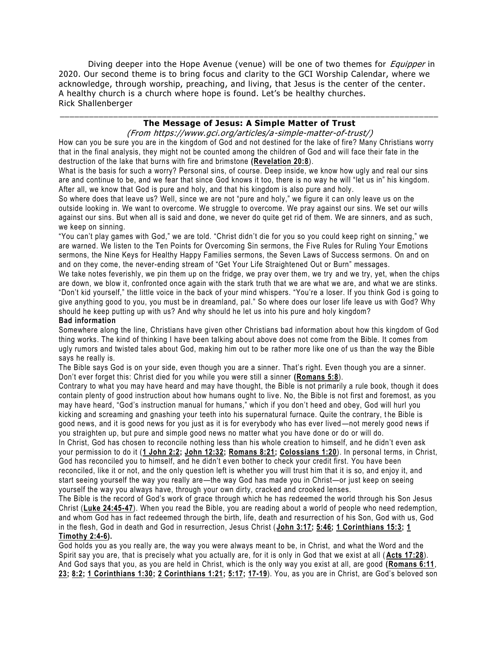Diving deeper into the Hope Avenue (venue) will be one of two themes for *Equipper* in 2020. Our second theme is to bring focus and clarity to the GCI Worship Calendar, where we acknowledge, through worship, preaching, and living, that Jesus is the center of the center. A healthy church is a church where hope is found. Let's be healthy churches. Rick Shallenberger

# \_\_\_\_\_\_\_\_\_\_\_\_\_\_\_\_\_\_\_\_\_\_\_\_\_\_\_\_\_\_\_\_\_\_\_\_\_\_\_\_\_\_\_\_\_\_\_\_\_\_\_\_\_\_\_\_\_\_\_\_\_\_\_\_\_\_\_\_\_\_\_\_\_\_\_\_\_\_ **The Message of Jesus: A Simple Matter of Trust**

(From https://www.gci.org/articles/a-simple-matter-of-trust/)

How can you be sure you are in the kingdom of God and not destined for the lake of fire? Many Christians worry that in the final analysis, they might not be counted among the children of God and will face their fate in the destruction of the lake that burns with fire and brimstone **[\(Revelation 20:8](https://biblia.com/bible/niv/Rev%2020.8)**).

What is the basis for such a worry? Personal sins, of course. Deep inside, we know how ugly and real our sins are and continue to be, and we fear that since God knows it too, there is no way he will "let us in" his kingdom. After all, we know that God is pure and holy, and that his kingdom is also pure and holy.

So where does that leave us? Well, since we are not "pure and holy," we figure it can only leave us on the outside looking in. We want to overcome. We struggle to overcome. We pray against our sins. We set our wills against our sins. But when all is said and done, we never do quite get rid of them. We are sinners, and as such, we keep on sinning.

"You can't play games with God," we are told. "Christ didn't die for you so you could keep right on sinning," we are warned. We listen to the Ten Points for Overcoming Sin sermons, the Five Rules for Ruling Your Emotions sermons, the Nine Keys for Healthy Happy Families sermons, the Seven Laws of Success sermons. On and on and on they come, the never-ending stream of "Get Your Life Straightened Out or Burn" messages.

We take notes feverishly, we pin them up on the fridge, we pray over them, we try and we try, yet, when the chips are down, we blow it, confronted once again with the stark truth that we are what we are, and what we are stinks. "Don't kid yourself," the little voice in the back of your mind whispers. "You're a loser. If you think God i s going to give anything good to you, you must be in dreamland, pal." So where does our loser life leave us with God? Why should he keep putting up with us? And why should he let us into his pure and holy kingdom?

# **Bad information**

Somewhere along the line, Christians have given other Christians bad information about how this kingdom of God thing works. The kind of thinking I have been talking about above does not come from the Bible. It comes from ugly rumors and twisted tales about God, making him out to be rather more like one of us than the way the Bible says he really is.

The Bible says God is on your side, even though you are a sinner. That's right. Even though you are a sinner. Don't ever forget this: Christ died for you while you were still a sinner **[\(Romans 5:8](https://biblia.com/bible/niv/Rom%205.8)**).

Contrary to what you may have heard and may have thought, the Bible is not primarily a rule book, though it does contain plenty of good instruction about how humans ought to live. No, the Bible is not first and foremost, as you may have heard, "God's instruction manual for humans," which if you don't heed and obey, God will hurl you kicking and screaming and gnashing your teeth into his supernatural furnace. Quite the contrary, t he Bible is good news, and it is good news for you just as it is for everybody who has ever lived —not merely good news if you straighten up, but pure and simple good news no matter what you have done or do or will do.

In Christ, God has chosen to reconcile nothing less than his whole creation to himself, and he didn't even ask your permission to do it (**[1 John 2:2;](https://biblia.com/bible/niv/1%20John%202.2) [John 12:32;](https://biblia.com/bible/niv/John%2012.32) [Romans 8:21;](https://biblia.com/bible/niv/Rom%208.21) [Colossians 1:20](https://biblia.com/bible/niv/Col%201.20)**). In personal terms, in Christ, God has reconciled you to himself, and he didn't e ven bother to check your credit first. You have been reconciled, like it or not, and the only question left is whether you will trust him that it is so, and enjoy it, and start seeing yourself the way you really are—the way God has made you in Christ—or just keep on seeing yourself the way you always have, through your own dirty, cracked and crooked lenses.

The Bible is the record of God's work of grace through which he has redeemed the world through his Son Jesus Christ (**[Luke 24:45-47](https://biblia.com/bible/niv/Luke%2024.45-47)**). When you read the Bible, you are reading about a world of people who need redemption, and whom God has in fact redeemed through the birth, life, death and resurrection o f his Son, God with us, God in the flesh, God in death and God in resurrection, Jesus Christ ( **[John 3:17;](https://biblia.com/bible/niv/John%203.17) [5:46;](https://biblia.com/bible/niv/John%205.46) [1 Corinthians 15:3;](https://biblia.com/bible/niv/1%20Cor%2015.3) [1](https://biblia.com/bible/niv/1%20Tim%202.4-6)  [Timothy 2:4-6\)](https://biblia.com/bible/niv/1%20Tim%202.4-6).**

God holds you as you really are, the way you were always meant to be, in Christ, and what the Word and the Spirit say you are, that is precisely what you actually are, for it is only in God that we exist at all ( **[Acts 17:28](https://biblia.com/bible/niv/Acts%2017.28)**). And God says that you, as you are held in Christ, which is the only way you exist at all, are good **[\(Romans 6:11](https://biblia.com/bible/niv/Rom%206.11)**, **[23;](https://biblia.com/bible/niv/Romans%206.23) [8:2;](https://biblia.com/bible/niv/Romans%208.2) [1 Corinthians 1:30;](https://biblia.com/bible/niv/1%20Cor%201.30) [2 Corinthians 1:21;](https://biblia.com/bible/niv/2%20Cor%201.21) [5:17;](https://biblia.com/bible/niv/2%20Corinthians%205.17) [17-19](https://biblia.com/bible/niv/2%20Corinthians%205.17-19)**). You, as you are in Christ, are God's beloved son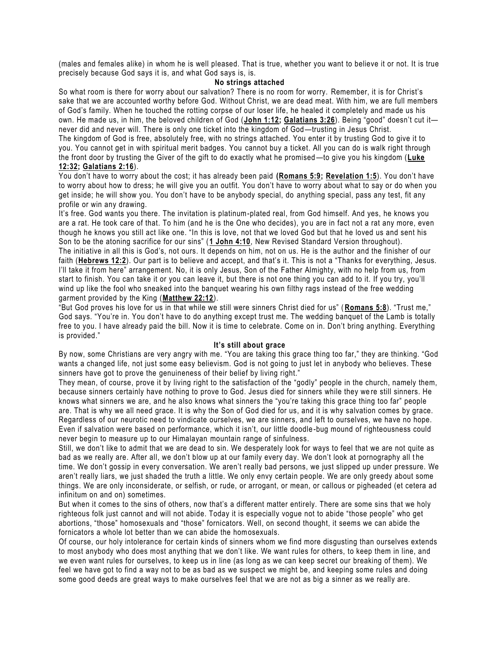(males and females alike) in whom he is well pleased. That is true, whether you want to believe it or not. It is true precisely because God says it is, and what God says is, is.

#### **No strings attached**

So what room is there for worry about our salvation? There is no room for worry. Remember, it is for Christ's sake that we are accounted worthy before God. Without Christ, we are dead meat. With him, we are full members of God's family. When he touched the rotting corpse of our loser life, he healed it completely and made us his own. He made us, in him, the beloved children of God (**[John 1:12;](https://biblia.com/bible/niv/John%201.12) [Galatians 3:26](https://biblia.com/bible/niv/Gal%203.26)**). Being "good" doesn't cut it never did and never will. There is only one ticket into the kingdom of God—trusting in Jesus Christ.

The kingdom of God is free, absolutely free, with no strings attached. You enter it by trusting God to give it to you. You cannot get in with spiritual merit badges. You cannot buy a ticket. All you can do is walk right through the front door by trusting the Giver of the gift to do exactly what he promised —to give you his kingdom (**[Luke](https://biblia.com/bible/niv/Luke%2012.32)  [12:32;](https://biblia.com/bible/niv/Luke%2012.32) [Galatians 2:16](https://biblia.com/bible/niv/Gal%202.16)**).

### You don't have to worry about the cost; it has already been paid **[\(Romans 5:9;](https://biblia.com/bible/niv/Rom%205.9) [Revelation 1:5](https://biblia.com/bible/niv/Rev%201.5)**). You don't have to worry about how to dress; he will give you an outfit. You don't have to worry about what to say or do when you get inside; he will show you. You don't have to be anybody special, do anything special, pass any test, fit any profile or win any drawing.

It's free. God wants you there. The invitation is platinum-plated real, from God himself. And yes, he knows you are a rat. He took care of that. To him (and he is the One who decides), you are in fact not a rat any more, even though he knows you still act like one. "In this is love, not that we loved God but that he loved us and sent his Son to be the atoning sacrifice for our sins" (**[1 John 4:10](https://biblia.com/bible/niv/1%20John%204.10)**, New Revised Standard Version throughout).

The initiative in all this is God's, not ours. It depends on him, not on us. He is the author and the finisher of our faith ([Hebrews 12:2](https://biblia.com/bible/niv/Heb%2012.2)). Our part is to believe and accept, and that's it. This is not a "Thanks for everything, Jesus. I'll take it from here" arrangement. No, it is only Jesus, Son of the Father Almighty, with no help from us, from start to finish. You can take it or you can leave it, but there is not one thing you can add to it. If you try, you'll wind up like the fool who sneaked into the banquet wearing his own filthy rags instead of the free wedding garment provided by the King (**[Matthew 22:12](https://biblia.com/bible/niv/Matt%2022.12)**).

"But God proves his love for us in that while we still were sinners Christ died for us" ( **[Romans 5:8](https://biblia.com/bible/niv/Rom%205.8)**). "Trust me," God says. "You're in. You don't have to do anything except trust me. The wedding banquet of the Lamb is totally free to you. I have already paid the bill. Now it is time to celebrate. Come on in. Don't bring anything. Everything is provided."

#### **It's still about grace**

By now, some Christians are very angry with me. "You are taking this grace thing too far," they are thinking. "God wants a changed life, not just some easy believism. God is not going to just let in anybody who believes. These sinners have got to prove the genuineness of their belief by living right."

They mean, of course, prove it by living right to the satisfaction of the "godly" people in the church, namely them, because sinners certainly have nothing to prove to God. Jesus died for sinners while they we re still sinners. He knows what sinners we are, and he also knows what sinners the "you're taking this grace thing too far" people are. That is why we all need grace. It is why the Son of God died for us, and it is why salvation comes by grace. Regardless of our neurotic need to vindicate ourselves, we are sinners, and left to ourselves, we have no hope. Even if salvation were based on performance, which it isn't, our little doodle -bug mound of righteousness could never begin to measure up to our Himalayan mountain range of sinfulness.

Still, we don't like to admit that we are dead to sin. We desperately look for ways to feel that we are not quite as bad as we really are. After all, we don't blow up at our family every day. We don't look at pornography all the time. We don't gossip in every conversation. We aren't really bad persons, we just slipped up under pressure. We aren't really liars, we just shaded the truth a little. We only envy certain people. We are only greedy about some things. We are only inconsiderate, or selfish, or rude, or arrogant, or mean, or callous or pigheaded (et cetera ad infinitum on and on) sometimes.

But when it comes to the sins of others, now that's a different matter entirely. There are some sins that we holy righteous folk just cannot and will not abide. Today it is especially vogue not to abide "those people" who get abortions, "those" homosexuals and "those" fornicators. Well, on second thought, it seems we can abide the fornicators a whole lot better than we can abide the homosexuals.

Of course, our holy intolerance for certain kinds of sinners whom we find more disgusting than ourselves extends to most anybody who does most anything that we don't like. We want rules for others, to keep them in line, and we even want rules for ourselves, to keep us in line (as long as we can keep secret our breaking of them). We feel we have got to find a way not to be as bad as we suspect we might be, and keeping some rules and doing some good deeds are great ways to make ourselves feel that we are not as big a sinner as we really are.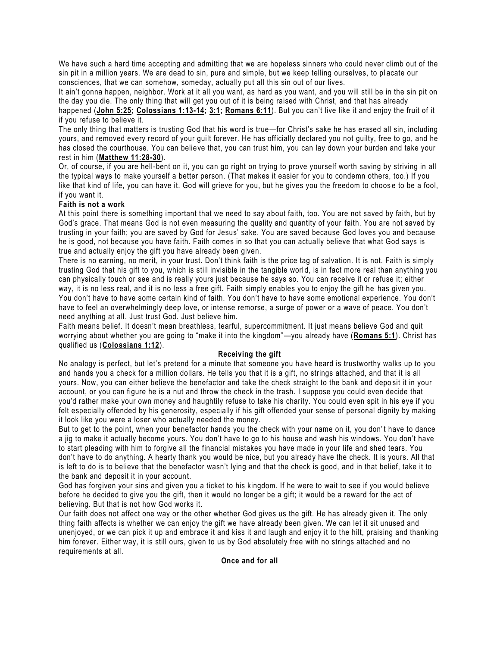We have such a hard time accepting and admitting that we are hopeless sinners who could never climb out of the sin pit in a million years. We are dead to sin, pure and simple, but we keep telling ourselves, to pl acate our consciences, that we can somehow, someday, actually put all this sin out of our lives.

It ain't gonna happen, neighbor. Work at it all you want, as hard as you want, and you will still be in the sin pit on the day you die. The only thing that will get you out of it is being raised with Christ, and that has already

happened (**[John 5:25;](https://biblia.com/bible/niv/John%205.25) [Colossians 1:13-14;](https://biblia.com/bible/niv/Col%201.13-14) [3:1;](https://biblia.com/bible/niv/Colossians%203.1) [Romans 6:11](https://biblia.com/bible/niv/Rom%206.11)**). But you can't live like it and enjoy the fruit of it if you refuse to believe it.

The only thing that matters is trusting God that his word is true—for Christ's sake he has erased all sin, including yours, and removed every record of your guilt forever. He has officially declared you not guilty, free to go, and he has closed the courthouse. You can believe that, you can trust him, you can lay down your burden and take your rest in him (**[Matthew 11:28-30](https://biblia.com/bible/niv/Matt%2011.28-30)**).

Or, of course, if you are hell-bent on it, you can go right on trying to prove yourself worth saving by striving in all the typical ways to make yourself a better person. (That makes it easier for you to condemn others, too.) If you like that kind of life, you can have it. God will grieve for you, but he gives you the freedom to choos e to be a fool, if you want it.

# **Faith is not a work**

At this point there is something important that we need to say about faith, too. You are not saved by faith, but by God's grace. That means God is not even measuring the quality and quantity of your faith. You are not saved by trusting in your faith; you are saved by God for Jesus' sake. You are saved because God loves you and because he is good, not because you have faith. Faith comes in so that you can actually believe that what God says is true and actually enjoy the gift you have already been given.

There is no earning, no merit, in your trust. Don't think faith is the price tag of salvation. It is not. Faith is simply trusting God that his gift to you, which is still invisible in the tangible world, is in fact more real than anything you can physically touch or see and is really yours just because he says so. You can receive it or refuse it; either way, it is no less real, and it is no less a free gift. Faith simply enables you to enjoy the gift he has given you. You don't have to have some certain kind of faith. You don't have to have some emotional experience. You don't have to feel an overwhelmingly deep love, or intense remorse, a surge of power or a wave of peace. You don't need anything at all. Just trust God. Just believe him.

Faith means belief. It doesn't mean breathless, tearful, supercommitment. It just means believe God and quit worrying about whether you are going to "make it into the kingdom"—you already have (**[Romans 5:1](https://biblia.com/bible/niv/Rom%205.1)**). Christ has qualified us (**[Colossians 1:12](https://biblia.com/bible/niv/Col%201.12)**).

# **Receiving the gift**

No analogy is perfect, but let's pretend for a minute that someone you h ave heard is trustworthy walks up to you and hands you a check for a million dollars. He tells you that it is a gift, no strings attached, and that it is all yours. Now, you can either believe the benefactor and take the check straight to the bank and depo sit it in your account, or you can figure he is a nut and throw the check in the trash. I suppose you could even decide that you'd rather make your own money and haughtily refuse to take his charity. You could even spit in his eye if you felt especially offended by his generosity, especially if his gift offended your sense of personal dignity by making it look like you were a loser who actually needed the money.

But to get to the point, when your benefactor hands you the check with your name on it, you don't have to dance a jig to make it actually become yours. You don't have to go to his house and wash his windows. You don't have to start pleading with him to forgive all the financial mistakes you have made in your life and shed tears. You don't have to do anything. A hearty thank you would be nice, but you already have the check. It is yours. All that is left to do is to believe that the benefactor wasn't lying and that the check is good, and in that belief, take it to the bank and deposit it in your account.

God has forgiven your sins and given you a ticket to his kingdom. If he were to wait to see if you would believe before he decided to give you the gift, then it would no longer be a gift; it would be a reward for the act of believing. But that is not how God works it.

Our faith does not affect one way or the other whether God gives us the gift. He has already given it. The only thing faith affects is whether we can enjoy the gift we have already been given. We can let it sit unused and unenjoyed, or we can pick it up and embrace it and kiss it and laugh and enjoy it to the hilt, praising and thanking him forever. Either way, it is still ours, given to us by God absolutely free with no strings attached and no requirements at all.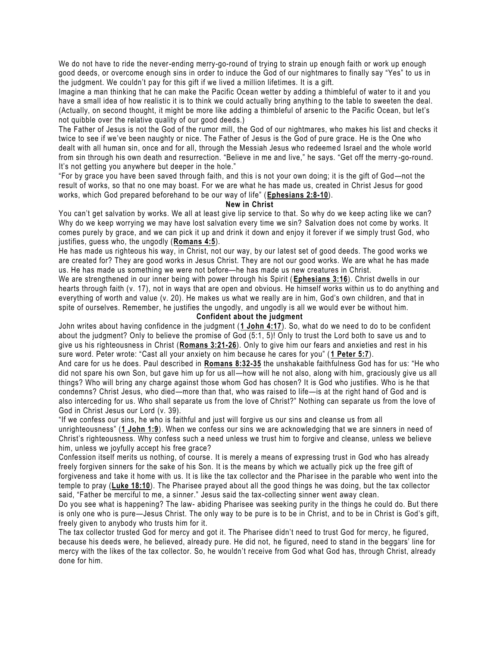We do not have to ride the never-ending merry-go-round of trying to strain up enough faith or work up enough good deeds, or overcome enough sins in order to induce the God of our nightmares to finally say "Yes" to us in the judgment. We couldn't pay for this gift if we lived a million lifetimes. It is a gift.

Imagine a man thinking that he can make the Pacific Ocean wetter by adding a thimbleful of water to it and you have a small idea of how realistic it is to think we could actually bring anything to the table to sweeten the deal. (Actually, on second thought, it might be more like adding a thimbleful of arsenic to the Pacific Ocean, but let's not quibble over the relative quality of our good deeds.)

The Father of Jesus is not the God of the rumor mill, the God of our nightmares, who makes his list and checks it twice to see if we've been naughty or nice. The Father of Jesus is the God of pure grace. He is the One who dealt with all human sin, once and for all, through the Messiah Jesus who redeeme d Israel and the whole world from sin through his own death and resurrection. "Believe in me and live," he says. "Get off the merry -go-round. It's not getting you anywhere but deeper in the hole."

"For by grace you have been saved through faith, and this is not your own doing; it is the gift of God—not the result of works, so that no one may boast. For we are what he has made us, created in Christ Jesus for good works, which God prepared beforehand to be our way of life" (**[Ephesians 2:8-10](https://biblia.com/bible/niv/Eph%202.8-10)**).

#### **New in Christ**

You can't get salvation by works. We all at least give lip service to that. So why do we keep acting like we can? Why do we keep worrying we may have lost salvation every time we sin? Salvation does not come by works. It comes purely by grace, and we can pick it up and drink it down and enjoy it forever if we simply trust God, who justifies, guess who, the ungodly (**[Romans 4:5](https://biblia.com/bible/niv/Rom%204.5)**).

He has made us righteous his way, in Christ, not our way, by our latest set of good deeds. The good works we are created for? They are good works in Jesus Christ. They are not our good works. We are what he has made us. He has made us something we were not before—he has made us new creatures in Christ.

We are strengthened in our inner being with power through his Spirit ( **[Ephesians 3:16](https://biblia.com/bible/niv/Eph%203.16)**). Christ dwells in our hearts through faith (v. 17), not in ways that are open and obvious. He himself works within us to do anything and everything of worth and value (v. 20). He makes us what we really are in him, God's own children, and that in spite of ourselves. Remember, he justifies the ungodly, and ungodly is all we would ever be without him.

#### **Confident about the judgment**

John writes about having confidence in the judgment (**[1 John 4:17](https://biblia.com/bible/niv/1%20John%204.17)**). So, what do we need to do to be confident about the judgment? Only to believe the promise of God (5:1, 5)! Only to trust the Lord both to save us and to give us his righteousness in Christ (**[Romans 3:21-26](https://biblia.com/bible/niv/Rom%203.21-26)**). Only to give him our fears and anxieties and rest in his sure word. Peter wrote: "Cast all your anxiety on him because he cares for you" ([1 Peter 5:7](https://biblia.com/bible/niv/1%20Pet%205.7)).

And care for us he does. Paul described in **[Romans 8:32-35](https://biblia.com/bible/niv/Rom%208.32-35)** the unshakable faithfulness God has for us: "He who did not spare his own Son, but gave him up for us all—how will he not also, along with him, graciously give us all things? Who will bring any charge against those whom God has chosen? It is God who justifies. Who is he that condemns? Christ Jesus, who died—more than that, who was raised to life—is at the right hand of God and is also interceding for us. Who shall separate us from the love of Christ?" Nothing can separate us from the love of God in Christ Jesus our Lord (v. 39).

"If we confess our sins, he who is faithful and just will forgive us our sins and cleanse us from all unrighteousness" (**[1 John 1:9](https://biblia.com/bible/niv/1%20John%201.9)**). When we confess our sins we are acknowledging that we are sinners in need of Christ's righteousness. Why confess such a need unless we trust him to forgive and cleanse, unless we believe him, unless we joyfully accept his free grace?

Confession itself merits us nothing, of course. It is merely a means of expressing trust in God who has already freely forgiven sinners for the sake of his Son. It is the means by which we actually pick up the free gift of forgiveness and take it home with us. It is like the tax collector and the Phar isee in the parable who went into the temple to pray (**[Luke 18:10](https://biblia.com/bible/niv/Luke%2018.10)**). The Pharisee prayed about all the good things he was doing, but the tax collector said, "Father be merciful to me, a sinner." Jesus said the tax-collecting sinner went away clean.

Do you see what is happening? The law- abiding Pharisee was seeking purity in the things he could do. But there is only one who is pure—Jesus Christ. The only way to be pure is to be in Christ, a nd to be in Christ is God's gift, freely given to anybody who trusts him for it.

The tax collector trusted God for mercy and got it. The Pharisee didn't need to trust God for mercy, he figured, because his deeds were, he believed, already pure. He did not, he figured, need to stand in the beggars' line for mercy with the likes of the tax collector. So, he wouldn't receive from God what God has, through Christ, already done for him.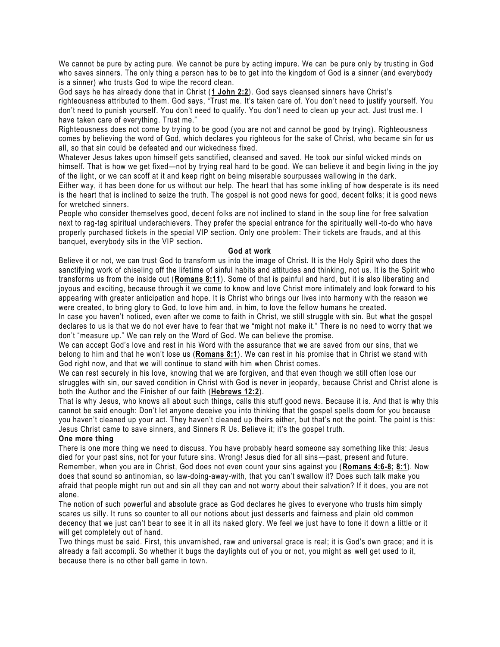We cannot be pure by acting pure. We cannot be pure by acting impure. We can be pure only by trusting in God who saves sinners. The only thing a person has to be to get into the kingdom of God is a sinner (and everybody is a sinner) who trusts God to wipe the record clean.

God says he has already done that in Christ (**[1 John 2:2](https://biblia.com/bible/niv/1%20John%202.2)**). God says cleansed sinners have Christ's righteousness attributed to them. God says, "Trust me. It's taken care of. You don't need to justify yourself. You don't need to punish yourself. You don't need to qualify. You don't need to clean up your act. Just trust me. I have taken care of everything. Trust me."

Righteousness does not come by trying to be good (you are not and cannot be good by trying). Righteousness comes by believing the word of God, which declares you righteous for the sake of Christ, who became sin for us all, so that sin could be defeated and our wickedness fixed.

Whatever Jesus takes upon himself gets sanctified, cleansed and saved. He took our sinful wicked minds on himself. That is how we get fixed—not by trying real hard to be good. We can believe it and begin living in the joy of the light, or we can scoff at it and keep right on being miserable sourpusses wallowing in the dark.

Either way, it has been done for us without our help. The heart that has some inkling of how desperate is its need is the heart that is inclined to seize the truth. The gospel is not good news for good, decent folks; it is good news for wretched sinners.

People who consider themselves good, decent folks are not inclined to stand in the soup line for free salvation next to rag-tag spiritual underachievers. They prefer the special entrance for the spiritually well -to-do who have properly purchased tickets in the special VIP section. Only one prob lem: Their tickets are frauds, and at this banquet, everybody sits in the VIP section.

#### **God at work**

Believe it or not, we can trust God to transform us into the image of Christ. It is the Holy Spirit who does the sanctifying work of chiseling off the lifetime of sinful habits and attitudes and thinking, not us. It is the Spirit who transforms us from the inside out (**[Romans 8:11](https://biblia.com/bible/niv/Rom%208.11)**). Some of that is painful and hard, but it is also liberating an d joyous and exciting, because through it we come to know and love Christ more intimately and look forward to his appearing with greater anticipation and hope. It is Christ who brings our lives into harmony with the reason we were created, to bring glory to God, to love him and, in him, to love the fellow humans he created.

In case you haven't noticed, even after we come to faith in Christ, we still struggle with sin. But what the gospel declares to us is that we do not ever have to fear that we "might not make it." There is no need to worry that we don't "measure up." We can rely on the Word of God. We can believe the promise.

We can accept God's love and rest in his Word with the assurance that we are saved from our sins, that we belong to him and that he won't lose us (**[Romans 8:1](https://biblia.com/bible/niv/Rom%208.1)**). We can rest in his promise that in Christ we stand with God right now, and that we will continue to stand with him when Christ comes.

We can rest securely in his love, knowing that we are forgiven, and that even though we still often lose our struggles with sin, our saved condition in Christ with God is never in jeopardy, because Christ and Christ alone is both the Author and the Finisher of our faith (**[Hebrews 12:2](https://biblia.com/bible/niv/Heb%2012.2)**).

That is why Jesus, who knows all about such things, calls this stuff good news. Because it is. And that is why this cannot be said enough: Don't let anyone deceive you into thinking that the gospel spells doom for you because you haven't cleaned up your act. They haven't cleaned up theirs either, but that's not the point. The point is this: Jesus Christ came to save sinners, and Sinners R Us. Believe it; it's the gospel truth.

# **One more thing**

There is one more thing we need to discuss. You have probably heard someone say something like this: Jesus died for your past sins, not for your future sins. Wrong! Jesus died for all sins —past, present and future. Remember, when you are in Christ, God does not even count your sins against you (**[Romans 4:6-8;](https://biblia.com/bible/niv/Rom%204.6-8) [8:1](https://biblia.com/bible/niv/Romans%208.1)**). Now does that sound so antinomian, so law-doing-away-with, that you can't swallow it? Does such talk make you afraid that people might run out and sin all they can and not worry about their salvation? If it does, you are not alone.

The notion of such powerful and absolute grace as God declar es he gives to everyone who trusts him simply scares us silly. It runs so counter to all our notions about just desserts and fairness and plain old common decency that we just can't bear to see it in all its naked glory. We feel we just have to tone it dow n a little or it will get completely out of hand.

Two things must be said. First, this unvarnished, raw and universal grace is real; it is God's own grace; and it is already a fait accompli. So whether it bugs the daylights out of you or not, you might as well get used to it, because there is no other ball game in town.